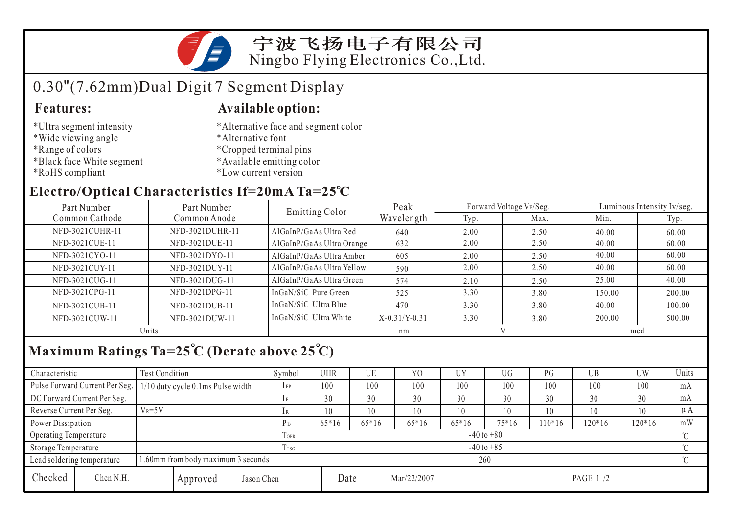

## 0.30"(7.62mm)Dual Digit 7 Segment Display

- \*Ultra segment intensity
- \*Wide viewing angle
- \*Range of colors
- \*Black face White segment
- \*RoHS compliant

#### **Features: Available option:**

- \*Alternative face and segment color
- \*Alternative font
- \*Cropped terminal pins
- \*Available emitting color
- \*Low current version

#### **Electro/Optical Characteristics If=20mA Ta=25 C**

| Part Number<br>Part Number |                 | Emitting Color            | Peak            |           | Forward Voltage VF/Seg. | Luminous Intensity Iv/seg. |        |  |
|----------------------------|-----------------|---------------------------|-----------------|-----------|-------------------------|----------------------------|--------|--|
| Common Cathode             | Common Anode    |                           | Wavelength      | Typ.      | Max.                    | Min.                       | Typ.   |  |
| NFD-3021CUHR-11            | NFD-3021DUHR-11 | AlGaInP/GaAs Ultra Red    | 640             | 2.00      | 2.50                    | 40.00                      | 60.00  |  |
| NFD-3021CUE-11             | NFD-3021DUE-11  | AlGaInP/GaAs Ultra Orange | 632             | 2.00      | 2.50                    | 40.00                      | 60.00  |  |
| NFD-3021CYO-11             | NFD-3021DYO-11  | AlGaInP/GaAs Ultra Amber  | 605             | 2.00      | 2.50                    | 40.00                      | 60.00  |  |
| NFD-3021CUY-11             | NFD-3021DUY-11  | AlGaInP/GaAs Ultra Yellow | 590             | 2.00      | 2.50                    | 40.00                      | 60.00  |  |
| NFD-3021CUG-11             | NFD-3021DUG-11  | AlGaInP/GaAs Ultra Green  | 574             | 2.10      | 2.50                    | 25.00                      | 40.00  |  |
| NFD-3021CPG-11             | NFD-3021DPG-11  | InGaN/SiC Pure Green      | 525             | 3.30      | 3.80                    | 150.00                     | 200.00 |  |
| NFD-3021CUB-11             | NFD-3021DUB-11  | InGaN/SiC Ultra Blue      | 470             | 3.30      | 3.80                    | 40.00                      | 100.00 |  |
| NFD-3021CUW-11             | NFD-3021DUW-11  | InGaN/SiC Ultra White     | $X-0.31/Y-0.31$ | 3.30      | 3.80                    | 200.00                     | 500.00 |  |
| Units                      |                 |                           | nm              | $\lambda$ |                         | mcd                        |        |  |

## **Maximum Ratings Ta=25 C (Derate above 25 C)**

| Characteristic           |                                     | Test Condition                     |      |                | Symbol         | <b>UHR</b> |             | UE      | Y <sub>0</sub> | UY        | UG    | PG       | UB       | UW       | Units   |
|--------------------------|-------------------------------------|------------------------------------|------|----------------|----------------|------------|-------------|---------|----------------|-----------|-------|----------|----------|----------|---------|
|                          | Pulse Forward Current Per Seg.      | 1/10 duty cycle 0.1ms Pulse width  |      |                | $1$ FP         | 100        |             | 100     | 100            | 100       | 100   | 100      | 100      | 100      | mA      |
|                          | DC Forward Current Per Seg.         |                                    |      |                | 1F             | 30         |             | 30      | 30             | 30        | 30    | 30       | 30       | 30       | mA      |
| Reverse Current Per Seg. |                                     | $V_R = 5V$                         |      |                | 1 R            | 10         |             | 10      | 10             | 10        | 10    | 10       | 10       | 10       | $\mu A$ |
| Power Dissipation        |                                     |                                    |      |                | P <sub>D</sub> | $65*16$    |             | $65*16$ | $65*16$        | $65*16$   | 75*16 | $110*16$ | $120*16$ | $120*16$ | mW      |
| Operating Temperature    |                                     |                                    |      | TOPR           | $-40$ to $+80$ |            |             |         |                |           |       |          |          | $\sim$   |         |
| Storage Temperature      |                                     |                                    | Trsg | $-40$ to $+85$ |                |            |             |         |                |           |       |          | $\sim$   |          |         |
|                          | Lead soldering temperature          | 1.60mm from body maximum 3 seconds |      |                |                | 260        |             |         |                |           |       |          |          |          |         |
| Checked                  | Chen N.H.<br>Jason Chen<br>Approved |                                    |      | Date           |                |            | Mar/22/2007 |         |                | PAGE 1 /2 |       |          |          |          |         |